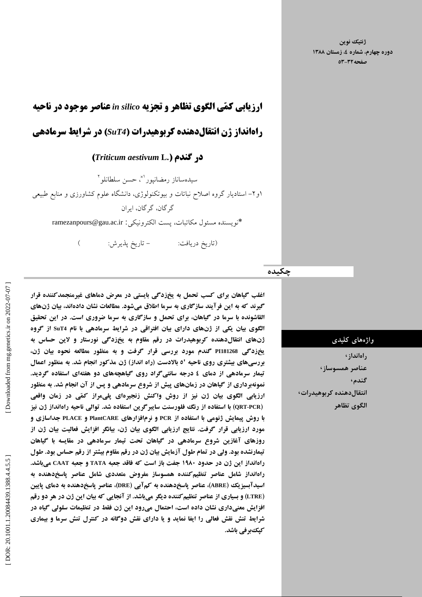ژنتيك نوين دوره چهارم، شماره ٤، زمستان ١٣٨٨ صفحه 32-03

# ارزيابي كمي الگوي تظاهر و تجزيه *silico in* عناصر موجود در ناحيه

**راهانداز ژن انتقالدهنده كربوهيدرات (SuT4) در شرايط سرمادهي** 

(*Triticum aestivum* **L.** در گندم (

سيدهساناز رمضانپور<sup>۱×</sup>، حسن سلطانلو<sup>۲</sup> ۱و۲– استادیار گروه اصلاح نباتات و بیوتکنولوژی، دانشگاه علوم کشاورزی و منابع طبیعی گر گان، گر گان، ايران \*نويسنده مسئول مكاتبات، پست الكترونيكي: ramezanpours@gau.ac.ir

> ( = تاريخ پذيرش: (تاريخ دريافت:

> > چکیده

اغلب گياهان براي كسب تحمل به يخزدگي بايستي در معرض دماهاي غيرمنجمدكننده قرار گيرند كه به اين فرآيند سازگاري به سرما اطلاق ميشود. مطالعات نشان دادهاند، بيان ژنهاي القاشونده با سرما در گياهان، براي تحمل و سازگاري به سرما ضروري است. در اين تحقيق الگوي بيان يكي از ژنهاي داراي بيان افتراقي در شرايط سرمادهي با نام **4SuT** از گروه ژنهاي انتقالدهنده كربوهيدرات در رقم مقاوم به يخزدگي نورستار و لاين حساس به يخزدگي **181268PI** گندم مورد بررسي قرار گرفت و به منظور مطالعه نحوه بيان ژن، بررسیهای بیشتری روی ناحیه '٥ بالادست (راه انداز) ژن مذکور انجام شد. به منظور اعمال تيمار سرمادهي از دماي ٤ درجه سانتي گراد روي گياهچههاي دو هفتهاي استفاده گرديد. نمونهبرداري از گياهان در زمانهاي پيش از شروع سرمادهي و پس از آن انجام شد. به منظور ارزيابي الگوي بيان ژن نيز از روش واكنش زنجيرهاي پليمراز كمي در زمان واقعي **PCR-QRT** (با استفاده از رنگ فلورسنت سايبرگرين استفاده شد. توالي ناحيه راهانداز ژن نيز ) با روش پيمايش ژنومي با استفاده از **PCR** و نرمافزارهاي **PlantCARE** و **PLACE** جداسازي و مورد ارزيابي قرار گرفت. نتايج ارزيابي الگوي بيان ژن، بيانگر افزايش فعاليت بيان ژن از روزهاي آغازين شروع سرمادهي در گياهان تحت تيمار سرمادهي در مقايسه با گياهان تيمارنشده بود. ولي در تمام طول آزمايش بيان ژن در رقم مقاوم بيشتر از رقم حساس بود. طول راهانداز اين ژن در حدود 1980 جفت باز است كه فاقد جعبه **TATA** و جعبه **CAAT** ميباشد. رآهانداز شامل عناصر تنظيم كننده همسوساز مفروض متعددی شامل عناصر پاسخدهنده به اسيدآبسيزيک (ABRE)، عناصر پاسخدهنده به کمآبی (DRE)، عناصر پاسخدهنده به دمای پايين **(LTRE) و بسیاری از عناصر تنظیم** *ک***ننده دیگر میباشد. از آنجایی که بیان این ژن در هر دو رقم** افزايش معنيداري نشان داده است، احتمال ميرود اين ژن فقط در تنظيمات سلولي گياه در شرايط تنش نقش فعالي را ايفا نمايد و يا داراي نقش دوگانه در كنترل تنش سرما و بيماري كپكبرفي باشد.

## واژەھای كليدى

راەانداز › عناصر همسوساز *۰* گندم، انتقالدهنده کربوهیدرات<sup>،</sup> الگوی تظاهر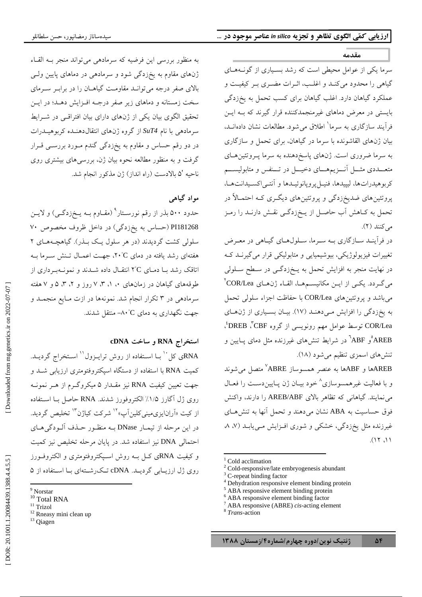### مقدمه

سرما یکی از عوامل محیطی است که رشد بسـیاری از گونــههــای گیاهی را محدود می کنـد و اغلـب، اثـرات مضـری بـر کیفیـت و عملکرد گیاهان دارد. اغلب گیاهان برای کسب تحمل به یخزدگی بایستی در معرض دماهای غیرمنجمدکننده قرار گیرند که بــه ایــن فرأيند سازگاري به سرما` اطلاق مي شود. مطالعات نشان دادهانــد، بیان ژنهای القاشونده با سرما در گیاهان، برای تحمل و سازگاری به سرما ضروری است. ژنهای پاسخدهنده به سرما پـروتئینهـای متعــــددی مثــــل أنــــزيـمهـــــای دخيـــــل در تــــنفس و متابوليســــم كربوهيدراتها، ليييدها، فنيـل يرويانوئيـدها و أنتـى|كسـيدانتهـا، پروتئینهای ضدیخزدگی و پروتئینهای دیگـری کـه احتمـالأ در تحمل به کـاهش اّب حاصـل از يـخزدگـي نقـش دارنـد را رمـز مي کنند (٢).

در فراینـد سـازگاري بـه سـرما، سـلولهـاي گيـاهي در معـرض تغییرات فیزیولوژیکی، بیوشیمیایی و متابولیکی قرار می گیرنــد کــه در نهایت منجر به افزایش تحمل به یـخزدگـی در سـطح سـلولی مي گــردد. يكــي از ايــن مكانيســمهــا، القــاء ژن@ــاي COR/Lea<sup>۲</sup> می باشد و پروتئینهای COR/Lea با حفاظت اجزاء سلولی تحمل به یخزدگی را افزایش می دهند (١٧). بیان بسیاری از ژنهای COR/Lea توسط عوامل مهم رونويسي از گروه DREB ، CBF'، AREB و ABF در شرایط تنشهای غیرزنده مثل دمای پــایین و تنشهای اسمزی تنظیم می شود (۱۸).

AREBها و ABFها به عنصر همسوساز ABRE<sup>/</sup> متصل می شوند و با فعالیت غیرهمسوسازی^خود بیـان ژن پـاییندسـت را فعـال می نمایند. گیاهانی که تظاهر بالای AREB/ABF را دارند، واکنش فوق حساسیت به ABA نشان می دهند و تحمل آنها به تنش هـای غیرزنده مثل یخزدگی، خشکی و شوری افزایش می یابـد (۷، ۸  $(15.1)$ 

به منظور بررسی این فرضیه که سرمادهی می تواند منجر بـه القـاء ژنهای مقاوم به یخزدگی شود و سرمادهی در دماهای پایین ولسی بالای صفر درجه می توانـد مقاومـت گیاهـان را در برابـر سـرمای سخت زمستانه و دماهای زیر صفر درجـه افـزایش دهــد؛ در ایــن تحقیق الگوی بیان یکی از ژنهای دارای بیان افتراقسی در شـرایط سرمادهی با نام  $\mathit{Sur14}$  از گروه ژنهای انتقالدهنـده کربوهیـدرات در دو رقم حساس و مقاوم به یخزدگی گندم مـورد بررســی قــرار گرفت و به منظور مطالعه نحوه بیان ژن، بررسیهای بیشتری روی ناحيه ٥ بالادست (راه انداز) ژن مذكور انجام شد.

# مواد گیاهی

حدود ۵۰۰ بذر از رقم نورسـتار<sup>۹</sup> (مقــاوم بــه يــخزدگــي) و لايــن PI181268 (حساس به يخزدگي) در داخل ظروف مخصوص ۷۰ سلولی کشت گردیدند (در هر سلول یک بـذر). گیاهچـههـای ۲ هفتهای رشد یافته در دمای ۲۰°C، جهت اعمـال تـنش سـرما بـه اتاقک رشد بـا دمـای ٢°C انتقـال داده شــدند و نمونــهبـرداری از طوقههای گیاهان در زمانهای ۰، ۱، ۳، ۷ روز و ۲، ۳، ۵ و ۷ هفته سرمادهی در ۳ تکرار انجام شد. نمونهها در ازت مـایع منجمـد و جهت نگهداری به دمای A۰°C- منتقل شدند.

# استخراج RNA و ساخت cDNA

RNAتی کل <sup>۱۰</sup> بـا اســتفاده از روش ترایــزول <sup>۱۱</sup> اســتخراج گردیــد. کمیت RNA با استفاده از دستگاه اسپکتروفتومتری ارزیابی شــد و جهت تعیین کیفیت RNA نیز مقـدار ۵ میکروگـرم از هـر نمونـه روى ژل آگارز ١/٥٪ الكتروفورز شدند. RNA حاصل بـا اسـتفاده از کیت «اَراِنایزیمینیکلیناَپ»<sup>۱۲</sup> شرکت کیاژن<sup>۱۳</sup> تخلیص گردید. در این مرحله از تیمـار DNase بـه منظـور حـذف آلـودگی هـای احتمالی DNA نیز استفاده شد. در پایان مرحله تخلیص نیز کمیت و كيفيت RNAى كـل بــه روش اســيكتروفتومترى و الكتروفــورز روی ژل ارزیابی گردیـد. cDNA تـكرشـتهای بـا اسـتفاده از ۵

Cold acclimation

Cold-responsive/late embryogenesis abundant

<sup>&</sup>lt;sup>3</sup> C-repeat binding factor

<sup>&</sup>lt;sup>4</sup> Dehydration responsive element binding protein

<sup>&</sup>lt;sup>5</sup> ABA responsive element binding protein

ABA responsive element binding factor

ABA responsive (ABRE) cis-acting element

<sup>&</sup>lt;sup>8</sup> Trans-action

<sup>&</sup>lt;sup>9</sup> Norstar

 $^{10}$  Total RNA  $11$  Trizol

 $12$  Rneasy mini clean up

<sup>&</sup>lt;sup>13</sup> Oiagen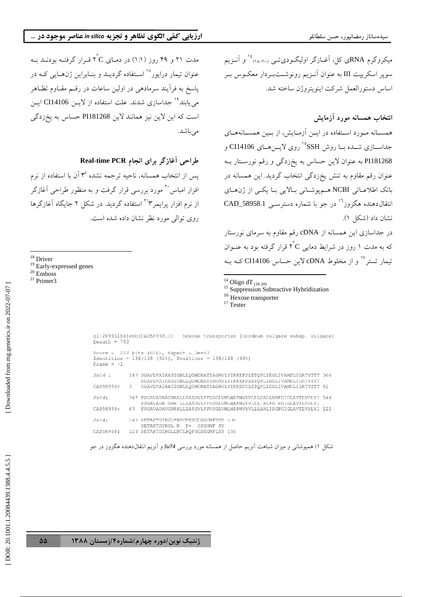<mark>ناهر و تجزیه co</mark><br>C المر و تجزیه<br>:۱) در دمـای {| PY " ° -<mark>r sil</mark><br>۲ ق ی**ابی کمّی الگوی تظاهر و تجزیه in silico عناصر موجود در ...**<br>لت ۲۱ و ۴۹ روز (۱:۱) در دمـای ۴<sup>۴</sup> قـرار گرفتـه بودنـد بــه<br>نوان تبعار درایور<sup>۱۸</sup> استفاده گـ دیـد و بنـایراین ژنهـایر کـه در عنوان تیمار درایور – استعاده تردیسه و بتابراین رنامتایی ت- در  $\,$ ست ۱۱ و ۱۱ روز ۲۰۰۷ در دسای ۲۰ شرار برفت بودند - ----۰ و ۱۰ رور (۱.۱۰) در دستای ع ۰ سرار ترسته بودسته ب<br>بمار درایور<sup>۱۸</sup> استفاده گردیــد و بنــابراین ژنهــایی کــه در<br>فرآیند سرمادهـی در اولین ساعات در رقــم مقــاوم تظــاهر<br><sup>۱۹</sup> جداسازی شدند. علت استفاده از لایــن CI14106 ایـ سعده عرویت و بسابرایر<br>در اولین ساعات در رة<br>۸. علت استفاده از لایــ<br>انند لاین PI181268 ح است که این لاین نیز همانند لاین PI181268 حساس به یخزدگی پاسے ب<del>ا</del> عر  $\ddot{\phantom{a}}$ 

# طراحی اغازگر برای انجام Real-time PCR انجام eal-time PCR<br>'

 .<br>فنار امياس<sup>م۲۰</sup> طراحی آغازگر برای انجام Real-time PCR<br>پس از انتخاب همسانه، ناحیه ترجمه نشده ۳ آن با استفاده از<br>افزار امیاس <sup>۲۰</sup> مهرد بررسر قرار گرفت و به منظور طراحر آغ : نرم افزار برابیم ۳<sup>۰۲</sup> ا ی اعبام عدا کامل عدا عدا<br>مانه، ناحیه ترجمه نشده ۳ آن با استفاده از نرم<br>بررسی قرار گرفت و به منظور طراحی آغازگر<br><sup>۲۱</sup> استفاده گ دید. د. شکا ۲ حایگاه آغازگ ها پس از انتخاب مستعده، تا خیبه تر جمله تشده.<br>... روی توالی مورد نظر نشان داده شده است.

<sup>18</sup> Driver

<sup>19</sup> Early-expressed genes

<sup>20</sup> Emboss

21 Primer3

(  ) y-'5 \$w RNA \_v AB- سوپر اسکریپت III به عنوان آنـزیم رونوشـتبـردار معکـوس بـر  $\begin{bmatrix} 1 & 1 & 1 \\ 0 & 1 & 1 \\ 0 & 0 & 1 \end{bmatrix}$ 

#### انتخاب همسانه مورد ازمایش<br>ا  $\mathcal{L}$

**نتخاب همسانه مورد آزمایش**<br>ممســانه مــورد اســتفاده در ایــن آزمــایش، از بــین همســانههــای<br>جداســازی شــده بــا روش SSH<sup>\'د</sup>روی لایــنهــای CI14106 و نخاب همسانه مورد آزمایش<br>مســانه مــورد اســتفاده در ایــن آزمــایش، از بــین همســانههــای<br>بداســازی شـــده بــا روش SSH<sup>086'</sup> روی لابــزهــای CI14106 و PI181268 مست به سورد استندده در ایس ارمنایش، از بنین مست به سای ســـده بــــ رود<br>۹ عنوان لاین<br>مقاوم به تنش<br>اتبی NCBI ها بانک اطار حتائی TRDA منته پوشت کی ہتا دینی ہتا یاسی از زنامندی r 1101200 به عنوان د ین هستامل به یم رد سی 11101200 به عنوان دیں حساس به یعزرت<sub>حی</sub> و رتم تورستار بـــ<br>منوان رقم مقاوم به تنش یخزدگی انتخاب گردید. این همسانه در<br>انک اطلاعــاتی NCBI هــم.پوشــانی بــالایی بــا یکــی از ژن@ــای<br>نتقال0هنده هگزوز<sup>۱۱</sup> در جو با شماره دست عنوان رتم معاوم به د لسان داد *(*سال ۲۰۰ ، مسم پوست <sub>می</sub><br>.ر جو با شماره<br>انه از cDNA ر ترور - در جو با سماره نسبرستی <sub>--</sub>00,000-د

انتفان دهنده هامزور - در جو با متماره دسترســی 2000-CAD<br>نشان داد (شکل ۱).<br>در جداسازی این همسانه از cDNA رقم مقاوم به سرمای نورستار<br>که به مدت ۱ روز در شرایط دمایی ۲°۲ قرار گرفته بود به عنــوان دست<br>م<br>۲ ق سین داد (سیس ۰٫۰)<br>از جداسازی این همسانه از cDNA رقم مقاوم به سرمای نورستار<br>که به مدت ۱ روز در شرایط دمایی ۲<sup>۰</sup>C قرار گرفته بود به عنـوان<br>یمار تستر<sup>۱۷</sup> و از مخلوط cDNA لاین حساس CI14106 کـه بــه

<sup>14</sup> Oligo dT  $_{(18\text{-}20)}$  15 Suppression Subtractive Hybridization

 $16$  Hexose transporter  $17$  Tester

```
gi | 26986186 | emb | CAD58958.1 | hexose transporter [Hordeum vulgare subsp. vulgare]
Length = 743Score = 257 \text{ bits } (656), Expect = 3e-67
Identities
             136/148 (91%), Positives = 138/148 (93%)
Frame = +1Sut4:
            187 SGAVLVAIAASIGNLLQGWDNATIAGAVLYIKKEFSLETQPLIEGLIVAMSLIGATVITT 366
                 SGAVLVAIAASIGNLLOGWDNATIAGAVLYIKKEFSLETOPLIEGLIVAMSLIGATVITT
CAD58958.
            \overline{\mathbf{z}}SGAVLVAIAASIGNLLOGWDNATIAGAVLYIKKEFSLETOPLIEGLIVAMSLIGATVITT 62
Sut4:
            367 FSGAVADAAGRRALLIASSVLYFVSGLVMLWAPNVYVLLLGRLLDRFGIGLAVTLVPLYI 546
                 FSGAVADA GRR LLIASSVLYFVSGLVMLWAPNVYVLLL RL+D FGIGLAVTLVPLYI
CAD58958:
                FSGAVADAVGRRPLLIASSVLYFVSGLVMLWAPNVYVLLLARLIDGFGIGLAVTLVPLYI 122
            63Sut.4:
            547 SETAPTDIRGL*NPCPKSGGSGGMFPSY 630
                 SETAPTDIRGL N P+ GSGGMF SY
            123 SETAPTDIRGLLNTLPQFSGSGGMFLSY 150
CAD58958:
```
) همپوشاني و ميزان شباهت آنزيم حاصل از همسانه مورد بررسي 4SuT و آنزيم انتقالدهنده هگزوز در جو شكل 1

Downloaded from mg.genetics.ir on 2022-07-07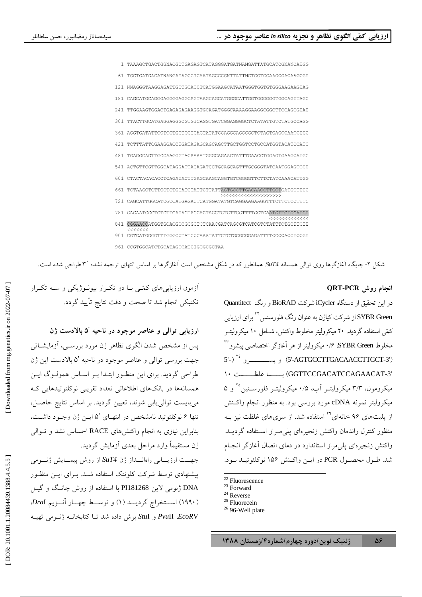1 TAAAGCTGACTGGNACGCTGAGAGTCATAGGGATGATNANGATTATGCATCGNANCATGG 61 TGCTGATGACATNANGATAGCCTCAATAGCCCGNTTATTNCTCGTCCAAGCGACAAGCGT NNAGGGTAAGGARATTGCTGCACCTCATGGAAGCATAATGGGTGGTGTGGGAAGAAGTAG 121 181 CAGCATGCAGGGAGGGGAGGCAGTAAGCAGCATGGGCATTGGTGGGGGTGGCAGTTAGC  $241$ 301 TTACTTGCATGAGGAGGGCGTGTCAGGTGATCGGAGGGGCTCTATATTGTCTATGCCAGG  $361$ 421 TGAGGCAGTTGCCAAGGGTACAAAATGGGCAGAACTATTTGAACCTGGAGTGAAGCATGC 481 541 ACTGTTCGTTGGCATAGGATTACAGATCCTGCAGCAGTTTGCGGGTATCAATGGAGTCCT 601 CTACTACACACCTCAGATACTTGAGCAAGCAGGTGTCGGGGTTCTTCTATCAAACATTGG TCTAAGCTCTTCCTCTGCATCTATTCTTATTAGTGCCTTGACAACCTTGCTGATGCTTCC 661 >>>>>>>>>>>>>>>>>>>>> 721 CAGCATTGGCATCGCCATGAGACTCATGGATATGTCAGGAAGAAGGTTTCTTCTCCTTTC GACAATCCCTGTCTTGATAGTAGCACTAGCTGTCTTGGTTTTGGTGAATGTTCTGGATGT CGGAACCATGGTGCACGCCGCGCTCTCAACGATCAGCGTCATCGTCTATTTCTGCTTCTT 841 901 CGTCATGGGGTTTGGGCCTATCCCAAATATTCTCTGCGCGGAGATTTTCCCCACCTCCGT

961 CCGTGGCATCTGCATAGCCATCTGCGCGCTAA

شکل ۲- جایگاه آغازگرها روی توالی همسانه SuT4 همانطور که در شکل مشخص است آغازگرها بر اساس انتهای ترجمه نشده ۳٬ طراحی شده است.

# انجام روش QRT-PCR

در این تحقیق از دستگاه iCycler شرکت BioRAD و رنگ Quantitect SYBR Green از شرکت کیاژن به عنوان رنگ فلورسنس <sup>۲٬</sup> برای ارزیابی کمّی استفاده گردید. ۲۰ میکرولیتر مخلوط واکنش، شــامل ۱۰ میکرولیتــر مخلوط SYBR Green» مهکرولیتر از هر آغازگر اختصاصی پیشرو ۲۳ (5'-AGTGCCTTGACAACCTTGCT-3') و يســـــــــــرو <sup>٢٤</sup> (-'5 'GGTTCCGACATCCAGAACAT-3) يــــــــــا غلظــــــت میکرومول، ۳/۳ میکرولیتـر آب، ۰/۵ میکرولیتـر فلورســئین°' و ۵ میکرولیتر نمونه cDNA مورد بررسی بود. به منظور انجام واکـنش از پلیتهای ۹۶ خانهای<sup>۲۰</sup> استفاده شد. از سریهای غلظت نیز بـه منظور کنترل راندمان واکنش زنجیرهای پلم مراز استفاده گردیـد. واکنش زنجیرهای پلم مراز استاندارد در دمای اتصال آغازگر انجــام شد. طـول محصـول PCR در ايـن واكـنش ١۵۶ نوكلئوتيـد بـود.

آزمون ارزیابی های کمّبی بیا دو تک رار بیولیوژیکی و سبه تک رار تكنيكي انجام شد تا صحت و دقت نتايج تأييد گردد.

ارزیابی توالی و عناصر موجود در ناحیه ۵' بالادست ژن پس از مشخص شدن الگوی تظاهر ژن مورد بررسـی، آزمایشــاتی جهت بررسی توالی و عناصر موجود در ناحیه ۵' بالادست این ژن طراحی گردید. برای این منظـور ابتـدا بـر اسـاس همولـوگ ایـن همسانهها در بانکهای اطلاعاتی تعداد تقریبی نوکلئوتیدهایی ک می بایست توالی پابی شوند، تعیین گردید. بر اساس نتایج حاصـل، تنها ۶ نوکلئوتید نامشخص در انتهـای ۵'ایــن ژن وجـود داشـت، بنابراین نیازی به انجام واکنش های RACE احساس نشد و تــوالی ژن مستقیماً وارد مراحل بعدی آزمایش گردید.

جهــت ارزيـــابي راهانـــداز ژن SuT4 از روش پيمــايش ژنـــومي پیشنهادی توسط شرکت کلونتک استفاده شـد. بـرای ایــن منظـور DNA ژنومی لاین PI181268 با استفاده از روش چانگ و گیا (١٩٩٠) استخراج گرديبد (١) و توسيط چهبار آنيزيم DraI PvuII EcoRV و StuI برش داده شد تــا كتابخانــه ژنــومى تهيــه

Downloaded from mg.genetics.ir on 2022-07-07

Fluorescence

<sup>&</sup>lt;sup>23</sup> Forward

<sup>&</sup>lt;sup>24</sup> Reverse

<sup>&</sup>lt;sup>25</sup> Fluorecein

<sup>&</sup>lt;sup>26</sup> 96-Well plate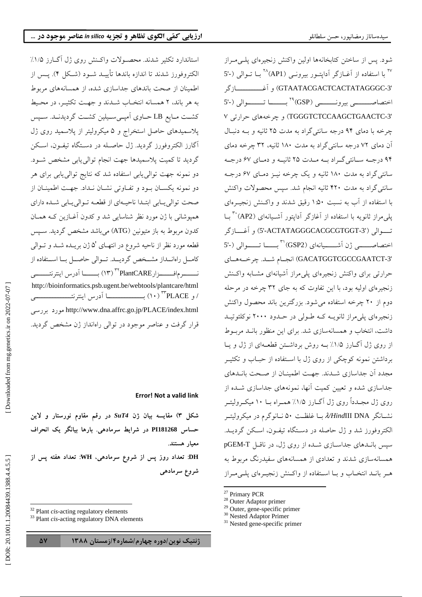استاندارد تکثیر شدند. محصولات واکنش روی ژل آگیارز ۱/۵٪ الكتروفورز شدند تا اندازه باندها تأييـد شـود (شـكل ۴). يـس از اطمینان از صحت باندهای جداسازی شده، از همسانههای مربوط به هر باند، ۲ همسانه انتخـاب شــدند و جهـت تكثيـر، در محـيط كشت مايع LB حــاوى أمپــىســيلين كشــت گرديدنــد. ســپس پلاسمیدهای حاصل استخراج و ۵ میکرولیتر از پلاسمید روی ژل آگارز الکتروفورز گردید. ژل حاصـله در دسـتگاه تیفـون، اسـکن گردید تا کمیت پلاسمیدها جهت انجام توالی یابی مشخص شـود. دو نمونه جهت توالی یابی استفاده شد که نتایج توالی یابی برای هر دو نمونه يكسـان بـود و تفـاوتي نشـان نـداد. جهـت اطمينـان از صحت توالی پابی ابتدا ناحیهای از قطعه توالی پابی شده دارای همپوشانی با ژن مورد نظر شناسایی شد و کدون آغـازین کـه همـان کدون مربوط به باز متیونین (ATG) میباشد مشخص گردید. سـپس قطعه مورد نظر از ناحیه شروع در انتهـای ۵'ژن بریــده شــد و تــوالـی كامــل راهانــداز مشــخص گرديــد. تــوالي حاصــل بــا اســتفاده از نـــــــــرمافــــــــزارPlantCARE" (١٣) بــــــــا آدرس اينترنتـــــــــى http://bioinformatics.psb.ugent.be/webtools/plantcare/html  $\begin{array}{ccc}\n\ldots & (\wedge \cdot)^{\top}$ PLACE , / http://www.dna.affrc.go.jp/PLACE/index.html مورد بررسي قرار گرفت و عناصر موجود در توالی راهانداز ژن مشخص گردید.

## **Error! Not a valid link**

شکل ۳) مقایسه بیان ژن SuT4 در رقم مقاوم نورستار و لاین حساس PI181268 در شرایط سرمادهی. بارها بیانگر یک انحراف معيار هستند. DH: تعداد روز پس از شروع سرمادهی، WH: تعداد هفته پس از شروع سرمادهی

شود. پس از ساختن کتابخانهها اولین واکنش زنجیرهای پلے میراز <sup>۲۷</sup> با استفاده از آغــازگر آدایتــور بیرونــی (AP1<sup>) ۲۸</sup> بــا تــوالی (-'5 'GTAATACGACTCACTATAGGGC-3) و آغــــــــــــازگر 'TGGGTCTCCAAGCTGAACTC-3) و چرخههای حرارتی ۷ چرخه با دمای ۹۴ درجه سانتی گراد به مدت ۲۵ ثانیه و بـه دنبـال آن دمای ۷۲ درجه سانتی گراد به مدت ۱۸۰ ثانیه، ۳۲ چرخه دمای ۹۴ درجـه سـانتي گـراد بـه مـدت ۲۵ ثانيـه و دمـاي ۶۷ درجـه سانتی گراد به مدت ۱۸۰ ثانیه و یک چرخه نیـز دمـای ۶۷ درجـه سانتی گراد به مدت ۴۲۰ ثانیه انجام شد. سپس محصولات واکنش با استفاده از آب به نسبت ۱.۵۰ رقیق شدند و واکـنش زنجیـرهای پل<sub>ی</sub>مراز ثانویه با استفاده از آغازگر آداپتور آشـیانهای (AP2)<sup>۳۰</sup>بــا تسوالي ('3-S'-ACTATAGGGCACGCGTGGT) و آغسازگر اختصاصـــــــــــــ ژن آشــــــــیانهای (GSP2) `` بــــــــا تــــــــوالی (-'5 'GACATGGTCGCCGAATCT-3) انجـام شــد. چرخــههــاي حرارتی برای واکنش زنجیرهای پلیمراز آشیانهای مشـابه واکـنش زنجیرهای اولیه بود، با این تفاوت که به جای ۳۲ چرخه در مرحله دوم از ۲۰ چرخه استفاده می شود. بزرگترین باند محصول واکنش زنجیرهای پلی مراز ثانویــه کــه طــولی در حــدود ۲۰۰۰ نوکلئوتیــد داشت، انتخاب و همسانهسازی شد. برای این منظور بانـد مربـوط از روی ژل آگــارز ۱/۵٪ بــه روش برداشــتن قطعــهای از ژل و پــا برداشتن نمونه کوچکی از روی ژل با استفاده از حبـاب و تکثیــر مجدد آن جداسازي شدند. جهت اطمينان از صحت باندهاي جداسازی شده و تعیین کمیت آنها، نمونههای جداسازی شـده از روی ژل مجـدداً روی ژل اَگــارز ۱/۵٪ همـراه بــا ۱۰ میکــرولیتــر نشــانگر *VHind*III DNA بــا غلظــت ۵۰ نــانوگرم در ميكروليتــر الکتروفورز شد و ژل حاصله در دستگاه تیفون، اسکن گردیـد. سیس بانــدهای جداســازی شــده از روی ژل، در ناقــل pGEM-T همسانهسازی شدند و تعدادی از همسانههای سفیدرنگ مربوط به هـر بانـد انتخـاب و بـا اسـتفاده از واكـنش زنجيـرهاي پلــيمـراز

- <sup>29</sup> Outer, gene-specific primer
- <sup>30</sup> Nested Adaptor Primer
- <sup>31</sup> Nested gene-specific primer

 $32$  Plant *cis*-acting regulatory elements

<sup>&</sup>lt;sup>33</sup> Plant *cis*-acting regulatory DNA elements

<sup>&</sup>lt;sup>27</sup> Primary PCR

<sup>&</sup>lt;sup>28</sup> Outer Adaptor primer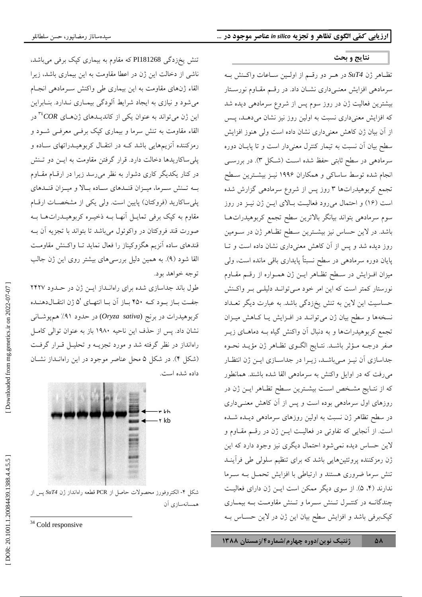### نتايج و بحث

تظاهر ژن SuT4 در هـر دو رقـم از اولـين سـاعات واكـنش بـه سرمادهی افزایش معنمیداری نشان داد. در رقم مقاوم نورستار بیشترین فعالیت ژن در روز سوم پس از شروع سرمادهی دیده شد که افزایش معنیداری نسبت به اولین روز نیز نشان میدهـد، پــس از آن بیان ژن کاهش معنیداری نشان داده است ولی هنوز افزایش سطح بیان آن نسبت به تیمار کنترل معنیدار است و تا پایـان دوره سرمادهی در سطح ثابتی حفظ شده است (شکل ۳). در بررســی انجام شده توسط ساساکی و همکاران ۱۹۹۶ نیـز بیشـترین سـطح تجمع کربوهیدراتها ۳ روز پس از شروع سرمادهی گزارش شده است (۱۶) و احتمال میرود فعالیت بالای ایـن ژن نیـز در روز سوم سرمادهي بتواند بيانگر بالاترين سطح تجمع كربوهيدراتهـا باشد. در لاین حساس نیز بیشــترین ســطح تظــاهر ژن در ســومین روز دیده شد و پس از آن کاهش معنیداری نشان داده است و تـا پایان دوره سرمادهی در سطح نسبتاً پایداری باقی مانده است، ولی میزان افـزایش در سـطح تظـاهر ایــن ژن همــواره از رقــم مقــاوم نورستار کمتر است که این امر خود مـیتوانـد دلیلـی بـر واکـنش حساسیت این لاین به تنش یخزدگی باشد. به عبارت دیگر تعـداد نسخهها و سطح بیان ژن میتوانـد در افـزایش یـا کـاهش میـزان تجمع کربوهیدراتها و به دنبال آن واکنش گیاه بـه دماهـای زیــر صفر درجــه مــؤثر باشــد. نتــايج الگــوى تظــاهر ژن مؤيــد نحــوه جداسازی آن نیـز مـیباشـد، زیـرا در جداسـازی ایـن ژن انتظـار می رفت که در اوایل واکنش به سرمادهی القا شده باشند. همانطور كه از نتـايج مشـخص اسـت بيشـترين سـطح تظـاهر ايـن ژن در روزهای اول سرمادهی بوده است و پس از آن کاهش معنـیداری در سطح تظاهر ژن نسبت به اولین روزهای سرمادهی دیـده شـده است. از آنجایی که تفاوتی در فعالیت ایـن ژن در رقـم مقـاوم و لاین حساس دیده نمی شود احتمال دیگری نیز وجود دارد که این ژن رمزکننده پروتئینهایی باشد که برای تنظیم سلولی طی فرآینـد تنش سرما ضروری هستند و ارتباطی با افزایش تحمل بـه سـرما ندارند (۴، ۵). از سوی دیگر ممکن است ایـن ژن دارای فعالیـت چندگانــه در كنتــرل تــنش ســرما و تــنش مقاومـت بــه بيمــاري كَيْكْبُرْفِي باشْدْ وْ افْزَايْشْ سْطَحْ بِيَانْ اينْ ژْنْ دْرْ لاين حسـاسْ بْـهْ

تنش یخزدگی PI181268 که مقاوم به بیماری کپک برفی میباشد، ناشی از دخالت این ژن در اعطا مقاومت به این بیماری باشد، زیرا القاء ژنهای مقاومت به این بیماری طی واکنش سـرمادهی انجـام میشود و نیازی به ایجاد شرایط آلودگی بیمـاری نـدارد. بنـابراین این ژن میتواند به عنوان یکی از کاندیـدهای ژنهـای <sup>۳٤</sup>COR در القاء مقاومت به تنش سرما و بیماری کپک برفـی معرفـی شــود و رمزکننده آنزیمهایی باشد کـه در انتقـال کربوهیــدراتهای ســاده و پلی ساکاریدها دخالت دارد. قرار گرفتن مقاومت به ایـن دو تـنش در کنار یکدیگر کاری دشوار به نظر میرسد زیرا در ارقام مقـاوم به تـنش سـرما، ميـزان قنـدهاي سـاده بـالا و ميـزان قنـدهاي پلی ساکارید (فروکتان) پایین است. ولی یکی از مشخصـات ارقـام مقاوم به کپک برفی تمایـل آنهـا بــه ذخیـره کربوهیــدراتهــا بــه صورت قند فروكتان در واكوئول مىباشد تا بتواند با تجزيه آن بــه قندهای ساده آنزیم هگزوکیناز را فعال نماید تـا واکـنش مقاومـت القا شود (۹). به همین دلیل بررسی های بیشتر روی این ژن جالب توجه خواهد بود.

طول باند جداسازی شده برای راهانداز ایسن ژن در حسدود ۲۴۲۷ جفت باز بود کـه ۴۵۰ بـاز آن بـا انتهـاي ۵' ژن انتقـالدهنـده کربوهیدرات در برنج (Oryza sativa) در حدود ۹۱٪ همپوشــانی نشان داد. پس از حذف این ناحیه ۱۹۸۰ باز به عنوان توالی کامـل راهانداز در نظر گرفته شد و مورد تجزیـه و تحلیـل قـرار گرفـت (شکل ۴). در شکل ۵ محل عناصر موجود در این راهانـداز نشـان داده شده است.



شكل ۴- الكتروفورز محصولات حاصل از PCR قطعه راهانداز ژن  $\mathit{Sur74}$  يس از همسانهسازي آن

<sup>34</sup> Cold responsive

ژنتیک نوین /دوره چهارم/شماره۴/زمستان ۱۳۸۸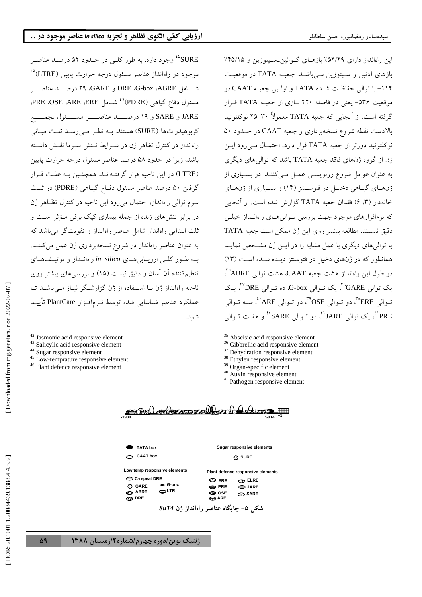۔<br>SURE' وجود دارد. به طور کلبی در حـدود ۵۲ درصـد عناصـر موجود در راهانداز عناصر مسئول درجه حرارت پایین (LTRE)<sup>10</sup> شسامل DRE ،G-box ،ABRE و GARE، ٢٩ درصـــد عناصــــر مسئول دفاع گياهي (PDRE<sup>) ٢٦</sup> شــامل PRE .OSE .ARE .ERE JARE و SARE و ١٩ درصـــــد عناصـــــــر مســـــئول تجمــــــع کربوهیدراتها (SURE) هستند. بــه نظـر مــی(ســد ثلــث میــانـی راهانداز در کنترل تظاهر ژن در شـرایط تـنش سـرما نقـش داشـته باشد، زیرا در حدود ۵۸ درصد عناصر مسئول درجه حرارت پایین (LTRE) در این ناحیه قرار گرفتهانـد. همچنـین بـه علـت قـرار گرفتن ۵۰ درصد عناصر مسئول دفـاع گیـاهی (PDRE) در ثلـث سوم توالی راهانداز، احتمال می رود این ناحیه در کنترل تظاهر ژن در برابر تنش های زنده از جمله بیماری کیک برفی مـؤثر اسـت و ثلث ابتدایی راهانداز شامل عناصر راهانداز و تقویتگر می باشد که به عنوان عناصر راهانداز در شروع نسخهبرداری ژن عمل می کننـد. بــه طــور كلــي ارزيــابي هــاي in silico راهانــداز و موتيــف&ــاي تنظیمکننده آن آسان و دقیق نیست (۱۵) و بررسی۵های بیشتر روی ناحیه راهانداز ژن بـا اسـتفاده از ژن گزارشـگر نیـاز مــی باشــد تـا عملکرد عناصر شناسایی شده توسط نـرمافـزار PlantCare تأییــد شو د.

- 43 Salicylic acid responsive element
- $44$  Sugar responsive element
- $45$  Low-temprature responsive element
- <sup>46</sup> Plant defence responsive element

بازهای آدنین و سبیتوزین مے باشید. جعبیه TATA در موقعیت ۱۱۴- با توالی حفاظت شـده TATA و اولـین جعبـه CAAT در موقعیت ۵۳۶- یعنی در فاصله ۴۲۰ بیازی از جعبـه TATA قـرار گرفته است. از آنجایی که جعبه TATA معمولاً ۳۰–۲۵ نوکلئوتید بالادست نقطه شروع نسخهبرداری و جعبه CAAT در حـدود ۵۰ نوکلئوتید دورتر از جعبه TATA قرار دارد، احتمـال مــی رود ایــن ژن از گروه ژن های فاقد جعبه TATA باشد که توالی های دیگری به عنوان عوامل شروع رونويسمي عمـل مـيكننـد. در بسـياري از ژنهای گیاهی دخیل در فتوستتز (۱۴) و بسیاری از ژنهای خانهدار (۳، ۶) فقدان جعبه TATA گزارش شده است. از آنجایی که نرمافزارهای موجود جهت بررسی تـوالی هـای راهانـداز خیلـی دقيق نيستند، مطالعه بيشتر روى اين ژن ممكن است جعبه TATA یا توالی های دیگری با عمل مشابه را در ایــن ژن مشــخص نمایــد همانطور که در ژنهای دخیل در فتوسنتز دیـده شـده اسـت (۱۳) در طول این راهانداز هشت جعبه CAAT. هشت توالی ABRE°، یک توالی GARE"، یک تـوالی G-box، ده تـوالی ORE"، یـک تــوالي ERE^، دو تــوالي OSE′، دو تــوالي ARE′، ســه تــوالي .<br>PRE'<sup>،</sup> یک توالی JARE'<sup>،</sup> دو تـوالی SARE'<sup>،</sup> و هفـت تـوالی

این راهانداز دارای ۵۴/۴۹٪ بازهبای گیوانین بستوزین و ۴۵/۱۵٪

- <sup>35</sup> Abscisic acid responsive element
- <sup>36</sup> Gibbrellic acid responsive element  $37$
- Dehydration responsive element
- Ethylen responsive element
- <sup>39</sup> Organ-specific element
- Auxin responsive element
- <sup>41</sup> Pathogen responsive element

 $\mathbb{R}^{\Omega}$ s $\mathbb{O}$ de componente domin

| TATA box                                                                                                                       | Sugar responsive elements                                                                                                         |
|--------------------------------------------------------------------------------------------------------------------------------|-----------------------------------------------------------------------------------------------------------------------------------|
| <b>CAAT box</b>                                                                                                                | ි SURE                                                                                                                            |
| Low temp responsive elements<br>C-repeat DRE<br>⊕ G-box<br><b>ID GARE</b><br>$\bigcirc$ LTR<br>$\bullet$ ABRE<br><b>CD</b> DRE | Plant defense responsive elements<br>© FRF<br>ELRE<br><b>BOB</b> PRE<br>◯ JARE<br>തം OSE<br><b></b> SARE<br>$\Leftrightarrow$ ARE |

 $\textit{Sur14}$  شکل ۵- جایگاه عناصر راهانداز ژن

<sup>&</sup>lt;sup>42</sup> Jasmonic acid responsive element